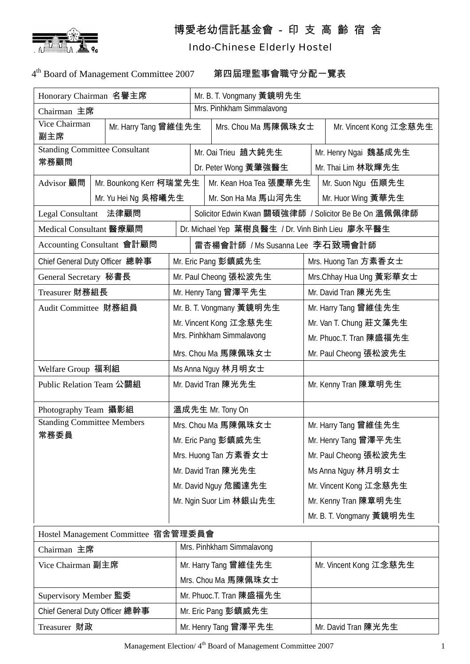

## 博愛老幼信託基金會 - 印 支 高 齡 宿 舍

## Indo-Chinese Elderly Hostel

4th Board of Management Committee 2007 第四屆理監事會職守分配一覽表

| Honorary Chairman 名譽主席                       |  |                           | Mr. B. T. Vongmany 黃鏡明先生                              |                          |                         |                          |  |  |  |
|----------------------------------------------|--|---------------------------|-------------------------------------------------------|--------------------------|-------------------------|--------------------------|--|--|--|
| Chairman 主席                                  |  |                           | Mrs. Pinhkham Simmalavong                             |                          |                         |                          |  |  |  |
| Vice Chairman<br>Mr. Harry Tang 曾維佳先生<br>副主席 |  |                           |                                                       | Mrs. Chou Ma 馬陳佩珠女士      |                         | Mr. Vincent Kong 江念慈先生   |  |  |  |
| <b>Standing Committee Consultant</b>         |  |                           |                                                       | Mr. Oai Trieu 趙大鈍先生      |                         | Mr. Henry Ngai 魏基成先生     |  |  |  |
| 常務顧問                                         |  |                           |                                                       | Dr. Peter Wong 黃肇強醫生     |                         | Mr. Thai Lim 林耿輝先生       |  |  |  |
| Mr. Bounkong Kerr 柯瑞堂先生<br>Advisor 顧問        |  |                           |                                                       | Mr. Kean Hoa Tea 張慶華先生   |                         | Mr. Suon Ngu 伍順先生        |  |  |  |
| Mr. Yu Hei Ng 吳榕曦先生                          |  |                           | Mr. Son Ha Ma 馬山河先生                                   |                          |                         | Mr. Huor Wing 黃華先生       |  |  |  |
| Legal Consultant 法律顧問                        |  |                           | Solicitor Edwin Kwan 關碩強律師 / Solicitor Be Be On 溫佩佩律師 |                          |                         |                          |  |  |  |
| Medical Consultant 醫療顧問                      |  |                           | Dr. Michael Yep 葉樹良醫生 / Dr. Vinh Binh Lieu 廖永平醫生      |                          |                         |                          |  |  |  |
| Accounting Consultant 會計顧問                   |  |                           | 雷杏楊會計師 /Ms Susanna Lee 李石致珊會計師                        |                          |                         |                          |  |  |  |
| Chief General Duty Officer 總幹事               |  |                           |                                                       | Mr. Eric Pang 彭鎮威先生      |                         | Mrs. Huong Tan 方素香女士     |  |  |  |
| General Secretary 秘書長                        |  | Mr. Paul Cheong 張松波先生     |                                                       |                          | Mrs.Chhay Hua Ung 黃彩華女士 |                          |  |  |  |
| Treasurer 財務組長                               |  | Mr. Henry Tang 曾澤平先生      |                                                       |                          |                         | Mr. David Tran 陳光先生      |  |  |  |
| Audit Committee 財務組員                         |  |                           |                                                       | Mr. B. T. Vongmany 黃鏡明先生 | Mr. Harry Tang 曾維佳先生    |                          |  |  |  |
|                                              |  | Mr. Vincent Kong 江念慈先生    |                                                       |                          |                         | Mr. Van T. Chung 莊文藻先生   |  |  |  |
|                                              |  | Mrs. Pinhkham Simmalavong |                                                       |                          | Mr. Phuoc.T. Tran 陳盛福先生 |                          |  |  |  |
|                                              |  |                           |                                                       | Mrs. Chou Ma 馬陳佩珠女士      |                         | Mr. Paul Cheong 張松波先生    |  |  |  |
| Welfare Group 福利組                            |  |                           | Ms Anna Nguy 林月明女士                                    |                          |                         |                          |  |  |  |
| Public Relation Team 公關組                     |  |                           | Mr. David Tran 陳光先生                                   |                          |                         | Mr. Kenny Tran 陳章明先生     |  |  |  |
| Photography Team 攝影組                         |  |                           |                                                       | 溫成先生 Mr. Tony On         |                         |                          |  |  |  |
| <b>Standing Committee Members</b>            |  |                           |                                                       | Mrs. Chou Ma 馬陳佩珠女士      |                         | Mr. Harry Tang 曾維佳先生     |  |  |  |
| 常務委員                                         |  | Mr. Eric Pang 彭鎮威先生       |                                                       |                          |                         | Mr. Henry Tang 曾澤平先生     |  |  |  |
|                                              |  |                           | Mrs. Huong Tan 方素香女士                                  |                          |                         | Mr. Paul Cheong 張松波先生    |  |  |  |
|                                              |  |                           |                                                       | Mr. David Tran 陳光先生      |                         | Ms Anna Nguy 林月明女士       |  |  |  |
|                                              |  |                           | Mr. David Nguy 危國達先生                                  |                          |                         | Mr. Vincent Kong 江念慈先生   |  |  |  |
|                                              |  |                           | Mr. Ngin Suor Lim 林銀山先生                               |                          |                         | Mr. Kenny Tran 陳章明先生     |  |  |  |
|                                              |  |                           |                                                       |                          |                         | Mr. B. T. Vongmany 黃鏡明先生 |  |  |  |
| Hostel Management Committee 宿舍管理委員會          |  |                           |                                                       |                          |                         |                          |  |  |  |
| Chairman 主席                                  |  |                           | Mrs. Pinhkham Simmalavong                             |                          |                         |                          |  |  |  |
| Vice Chairman 副主席                            |  |                           | Mr. Harry Tang 曾維佳先生                                  |                          |                         | Mr. Vincent Kong 江念慈先生   |  |  |  |
|                                              |  |                           | Mrs. Chou Ma 馬陳佩珠女士                                   |                          |                         |                          |  |  |  |
| Supervisory Member 監委                        |  |                           | Mr. Phuoc.T. Tran 陳盛福先生                               |                          |                         |                          |  |  |  |
| Chief General Duty Officer 總幹事               |  |                           | Mr. Eric Pang 彭鎮威先生                                   |                          |                         |                          |  |  |  |
| Treasurer 財政                                 |  |                           |                                                       | Mr. Henry Tang 曾澤平先生     |                         | Mr. David Tran 陳光先生      |  |  |  |